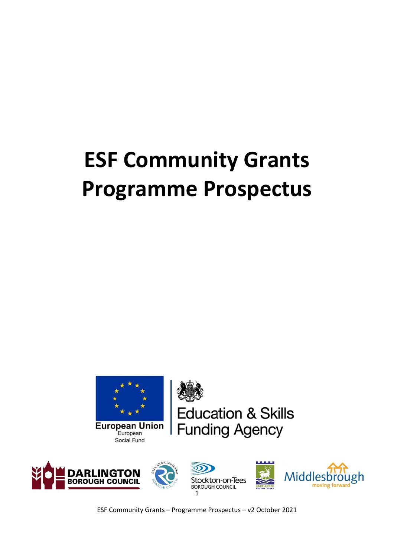# **ESF Community Grants Programme Prospectus**



ducation & Skills **Funding Agency** 



ESF Community Grants – Programme Prospectus – v2 October 2021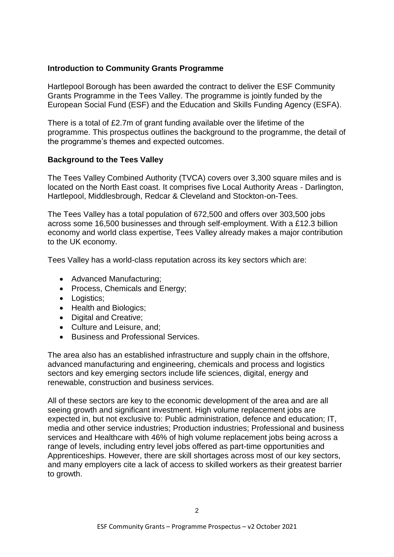## **Introduction to Community Grants Programme**

Hartlepool Borough has been awarded the contract to deliver the ESF Community Grants Programme in the Tees Valley. The programme is jointly funded by the European Social Fund (ESF) and the Education and Skills Funding Agency (ESFA).

There is a total of £2.7m of grant funding available over the lifetime of the programme. This prospectus outlines the background to the programme, the detail of the programme's themes and expected outcomes.

## **Background to the Tees Valley**

The Tees Valley Combined Authority (TVCA) covers over 3,300 square miles and is located on the North East coast. It comprises five Local Authority Areas - Darlington, Hartlepool, Middlesbrough, Redcar & Cleveland and Stockton-on-Tees.

The Tees Valley has a total population of 672,500 and offers over 303,500 jobs across some 16,500 businesses and through self-employment. With a £12.3 billion economy and world class expertise, Tees Valley already makes a major contribution to the UK economy.

Tees Valley has a world-class reputation across its key sectors which are:

- Advanced Manufacturing;
- Process, Chemicals and Energy:
- Logistics:
- Health and Biologics:
- Digital and Creative;
- Culture and Leisure, and:
- Business and Professional Services.

The area also has an established infrastructure and supply chain in the offshore, advanced manufacturing and engineering, chemicals and process and logistics sectors and key emerging sectors include life sciences, digital, energy and renewable, construction and business services.

All of these sectors are key to the economic development of the area and are all seeing growth and significant investment. High volume replacement jobs are expected in, but not exclusive to: Public administration, defence and education; IT, media and other service industries; Production industries; Professional and business services and Healthcare with 46% of high volume replacement jobs being across a range of levels, including entry level jobs offered as part-time opportunities and Apprenticeships. However, there are skill shortages across most of our key sectors, and many employers cite a lack of access to skilled workers as their greatest barrier to growth.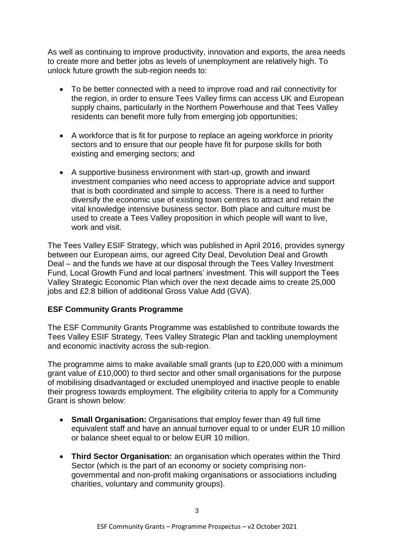As well as continuing to improve productivity, innovation and exports, the area needs to create more and better jobs as levels of unemployment are relatively high. To unlock future growth the sub-region needs to:

- To be better connected with a need to improve road and rail connectivity for the region, in order to ensure Tees Valley firms can access UK and European supply chains, particularly in the Northern Powerhouse and that Tees Valley residents can benefit more fully from emerging job opportunities;
- A workforce that is fit for purpose to replace an ageing workforce in priority sectors and to ensure that our people have fit for purpose skills for both existing and emerging sectors; and
- A supportive business environment with start-up, growth and inward investment companies who need access to appropriate advice and support that is both coordinated and simple to access. There is a need to further diversify the economic use of existing town centres to attract and retain the vital knowledge intensive business sector. Both place and culture must be used to create a Tees Valley proposition in which people will want to live, work and visit.

The Tees Valley ESIF Strategy, which was published in April 2016, provides synergy between our European aims, our agreed City Deal, Devolution Deal and Growth Deal – and the funds we have at our disposal through the Tees Valley Investment Fund, Local Growth Fund and local partners' investment. This will support the Tees Valley Strategic Economic Plan which over the next decade aims to create 25,000 jobs and £2.8 billion of additional Gross Value Add (GVA).

## **ESF Community Grants Programme**

The ESF Community Grants Programme was established to contribute towards the Tees Valley ESIF Strategy, Tees Valley Strategic Plan and tackling unemployment and economic inactivity across the sub-region.

The programme aims to make available small grants (up to £20,000 with a minimum grant value of £10,000) to third sector and other small organisations for the purpose of mobilising disadvantaged or excluded unemployed and inactive people to enable their progress towards employment. The eligibility criteria to apply for a Community Grant is shown below:

- **Small Organisation:** Organisations that employ fewer than 49 full time equivalent staff and have an annual turnover equal to or under EUR 10 million or balance sheet equal to or below EUR 10 million.
- **Third Sector Organisation:** an organisation which operates within the Third Sector (which is the part of an economy or society comprising nongovernmental and non-profit making organisations or associations including charities, voluntary and community groups).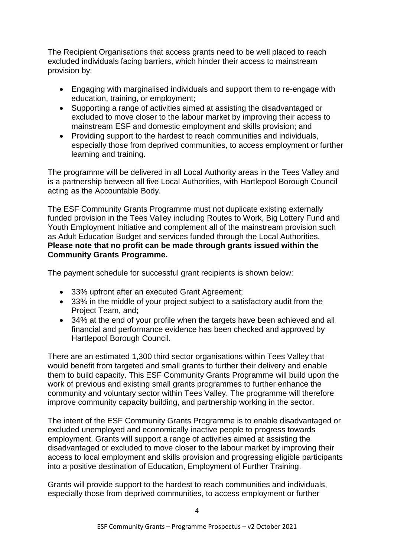The Recipient Organisations that access grants need to be well placed to reach excluded individuals facing barriers, which hinder their access to mainstream provision by:

- Engaging with marginalised individuals and support them to re-engage with education, training, or employment;
- Supporting a range of activities aimed at assisting the disadvantaged or excluded to move closer to the labour market by improving their access to mainstream ESF and domestic employment and skills provision; and
- Providing support to the hardest to reach communities and individuals, especially those from deprived communities, to access employment or further learning and training.

The programme will be delivered in all Local Authority areas in the Tees Valley and is a partnership between all five Local Authorities, with Hartlepool Borough Council acting as the Accountable Body.

The ESF Community Grants Programme must not duplicate existing externally funded provision in the Tees Valley including Routes to Work, Big Lottery Fund and Youth Employment Initiative and complement all of the mainstream provision such as Adult Education Budget and services funded through the Local Authorities. **Please note that no profit can be made through grants issued within the Community Grants Programme.** 

The payment schedule for successful grant recipients is shown below:

- 33% upfront after an executed Grant Agreement;
- 33% in the middle of your project subject to a satisfactory audit from the Project Team, and;
- 34% at the end of your profile when the targets have been achieved and all financial and performance evidence has been checked and approved by Hartlepool Borough Council.

There are an estimated 1,300 third sector organisations within Tees Valley that would benefit from targeted and small grants to further their delivery and enable them to build capacity. This ESF Community Grants Programme will build upon the work of previous and existing small grants programmes to further enhance the community and voluntary sector within Tees Valley. The programme will therefore improve community capacity building, and partnership working in the sector.

The intent of the ESF Community Grants Programme is to enable disadvantaged or excluded unemployed and economically inactive people to progress towards employment. Grants will support a range of activities aimed at assisting the disadvantaged or excluded to move closer to the labour market by improving their access to local employment and skills provision and progressing eligible participants into a positive destination of Education, Employment of Further Training.

Grants will provide support to the hardest to reach communities and individuals, especially those from deprived communities, to access employment or further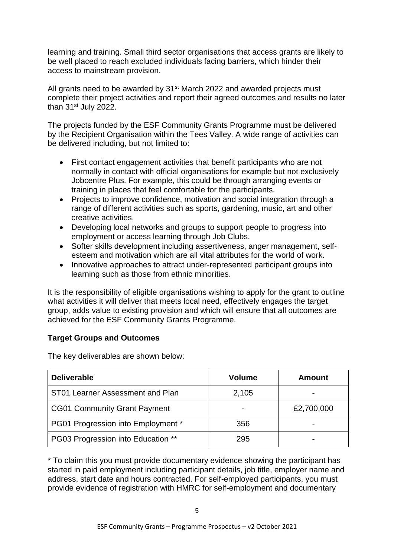learning and training. Small third sector organisations that access grants are likely to be well placed to reach excluded individuals facing barriers, which hinder their access to mainstream provision.

All grants need to be awarded by 31<sup>st</sup> March 2022 and awarded projects must complete their project activities and report their agreed outcomes and results no later than 31st July 2022.

The projects funded by the ESF Community Grants Programme must be delivered by the Recipient Organisation within the Tees Valley. A wide range of activities can be delivered including, but not limited to:

- First contact engagement activities that benefit participants who are not normally in contact with official organisations for example but not exclusively Jobcentre Plus. For example, this could be through arranging events or training in places that feel comfortable for the participants.
- Projects to improve confidence, motivation and social integration through a range of different activities such as sports, gardening, music, art and other creative activities.
- Developing local networks and groups to support people to progress into employment or access learning through Job Clubs.
- Softer skills development including assertiveness, anger management, selfesteem and motivation which are all vital attributes for the world of work.
- Innovative approaches to attract under-represented participant groups into learning such as those from ethnic minorities.

It is the responsibility of eligible organisations wishing to apply for the grant to outline what activities it will deliver that meets local need, effectively engages the target group, adds value to existing provision and which will ensure that all outcomes are achieved for the ESF Community Grants Programme.

# **Target Groups and Outcomes**

The key deliverables are shown below:

| <b>Deliverable</b>                  | <b>Volume</b> | Amount     |
|-------------------------------------|---------------|------------|
| ST01 Learner Assessment and Plan    | 2,105         |            |
| <b>CG01 Community Grant Payment</b> |               | £2,700,000 |
| PG01 Progression into Employment *  | 356           |            |
| PG03 Progression into Education **  | 295           |            |

\* To claim this you must provide documentary evidence showing the participant has started in paid employment including participant details, job title, employer name and address, start date and hours contracted. For self-employed participants, you must provide evidence of registration with HMRC for self-employment and documentary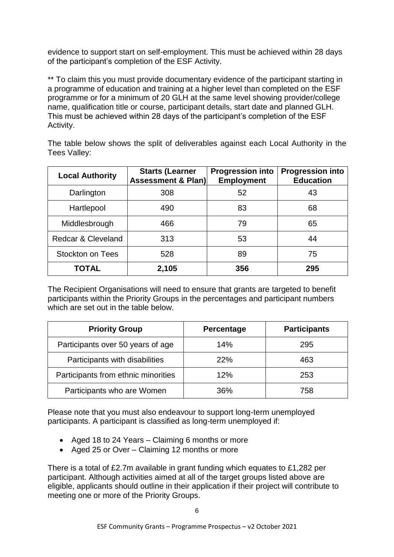evidence to support start on self-employment. This must be achieved within 28 days of the participant's completion of the ESF Activity.

\*\* To claim this you must provide documentary evidence of the participant starting in a programme of education and training at a higher level than completed on the ESF programme or for a minimum of 20 GLH at the same level showing provider/college name, qualification title or course, participant details, start date and planned GLH. This must be achieved within 28 days of the participant's completion of the ESF Activity.

The table below shows the split of deliverables against each Local Authority in the Tees Valley:

| <b>Local Authority</b>  | <b>Starts (Learner</b><br><b>Assessment &amp; Plan)</b> | <b>Progression into</b><br><b>Employment</b> | <b>Progression into</b><br><b>Education</b> |
|-------------------------|---------------------------------------------------------|----------------------------------------------|---------------------------------------------|
| Darlington              | 308                                                     | 52                                           | 43                                          |
| Hartlepool              | 490                                                     | 83                                           | 68                                          |
| Middlesbrough           | 466                                                     | 79                                           | 65                                          |
| Redcar & Cleveland      | 313                                                     | 53                                           | 44                                          |
| <b>Stockton on Tees</b> | 528                                                     | 89                                           | 75                                          |
| <b>TOTAL</b>            | 2,105                                                   | 356                                          | 295                                         |

The Recipient Organisations will need to ensure that grants are targeted to benefit participants within the Priority Groups in the percentages and participant numbers which are set out in the table below.

| <b>Priority Group</b>               | Percentage | <b>Participants</b> |
|-------------------------------------|------------|---------------------|
| Participants over 50 years of age   | 14%        | 295                 |
| Participants with disabilities      | <b>22%</b> | 463                 |
| Participants from ethnic minorities | 12%        | 253                 |
| Participants who are Women          | 36%        | 758                 |

Please note that you must also endeavour to support long-term unemployed participants. A participant is classified as long-term unemployed if:

- Aged 18 to 24 Years Claiming 6 months or more
- Aged 25 or Over Claiming 12 months or more

There is a total of £2.7m available in grant funding which equates to £1,282 per participant. Although activities aimed at all of the target groups listed above are eligible, applicants should outline in their application if their project will contribute to meeting one or more of the Priority Groups.